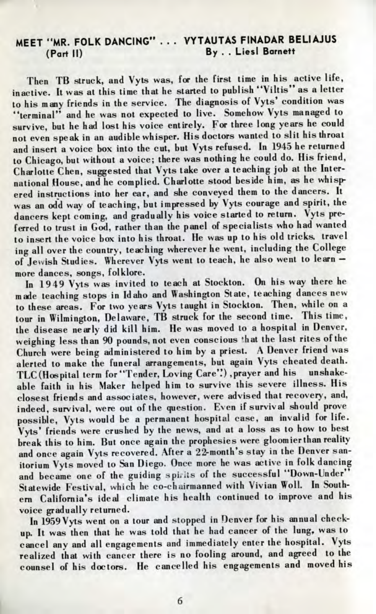## MEET "MR. FOLK DANCING" . . . VYTAUTAS FINADAR BELIAJUS (Part II) By . . Liesl Barnett

Then TB struck, and Vyts was, for the first time in his active life, inactive. It was at this time that he started to publish "Viltis" as a letter to his many friends in the service. The diagnosis of Vyts' condition was terminal" and he was not expected to live. Somehow Vyts managed to survive, but he had lost his voice entirely. For three long years he could not even speak in an audible whisper. His doctors wanted to slit his throat and insert a voice box into the cut, but Vyts refused. In 1945 he returned  $\overline{\text{c}}$  Chicago, but without a voice; there was nothing he could do. His friend, Charlotte Chen, suggested that Vyts take over a teaching job at the International House, and he complied. Charlotte stood beside him, as he whispered instructions into her ear, and she conveyed them to the dancers. It was an odd way of teaching, but impressed by Vyts courage and spirit, the dancers kept coming, and gradually his voice started to return. Vyts preferred to trust in God, rather than the panel of specialists who had wanted to insert the voice box into his throat. He was up to his old tricks, travel ing all over the country, teaching wherever he went, including the College of Jewish Studies. Wherever Vyts went to teach, he also went to learn more dances, songs, folklore.

In 1949 Vyts was invited to teach at Stockton. On his way there he made teaching stops in Idaho and Washington State, teaching dances new to these areas. For two years Vyts taught in Stockton. Then, while on a  $\overline{\text{out}}$  in Wilmington, Delaware, TB struck for the second time. This time, the disease nearly did kill him. He was moved to a hospital in Denver, weighing less than 90 pounds, not even conscious \*hat the last rites of the Church were being administered to him by a priest. A Denver friend was alerted to make the funeral arrangements, but again Vyts cheated death. TLC (Hospital term for "Tender, Loving Care'!) ,prayer and his unshakeable faith in his Maker helped him to survive this severe illness. His closest friends and associates, however, were advised that recovery, and, indeed, survival, were out of the question. Even if survival should prove possible, Vyts would be a permanent hospital case, an invalid for life. Vyts' friends were crushed by the news, and at a loss as to how to best break this to him. But once again the prophesies were gloomier than reality and once again Vyts recovered. After a 22-month's stay in the Denver sanitorium Vyts moved to San Diego. Once more he was active in folk dancing and became one of the guiding spirits of the successful "Down-Under" Statewide Festival, which he co-chairmanned with Vivian Woll. In Southern California's ideal climate his health continued to improve and his voice gradually returned.

In 1959 Vyts went on a tour and stopped in Denver for his annual checkup. It was then that he was told that he had cancer of the lung, was to cancel any and all engagements and immediately enter the hospital. Vyts realized that with cancer there is no fooling around, and agreed to the counsel of his doctors. He cancelled his engagements and moved his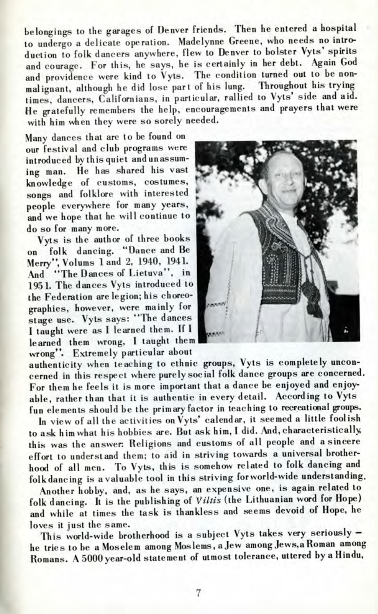belongings to the garages of Denver friends. Then he entered a hospital to undergo a delicate operation. Madelynne Greene, who needs no introduction to folk dancers anywhere, flew to Denver to bolster Vyts' spirits and courage. For this, he says, he is certainly in her debt. Again God and providence were kind to Vyts. The condition turned out to be non-<br>moliment, although he did lose nart of his lung. Throughout his trying malignant, although he did lose part of his lung. times, dancers, Californians, in particular, rallied to Vyts' side and aid. He gratefully remembers the help, encouragements and prayers that were with him when they were so sorely needed.

Many dances that are to be found on our festival and club programs were introduced by this quiet and unassuming man. He has shared his vast knowledge of customs, costumes, songs and folklore with interested people everywhere for many years, and we hope that he will continue to do so for many more.

Vyts is the author of three books on folk dancing. "Dance and Be Merry", Volums land 2, 1940, 1941. And "The Dances of Lietuva", in 1951. The dances Vyts introduced to the Federation are legion; his choreographies, however, were mainly for stage use. Vyts says: "The dances I taught were as I learned them. If I learned them wrong, I taught them wrong". Extremely particular about



authenticity when teaching to ethnic groups, Vyts is completely unconcerned in this respect where purely social folk dance groups are concerned. For them he feels it is more important that a dance be enjoyed and enjoyable, rather than that it is authentic in every detail. According to Vyts fun elements should be the primary factor in teaching to recreational groups.

In view of all the activities on Vyts' calendar, it seemed a little foolish to ask him what his hobbies are. But ask him, I did. And, characteristically, this was the answer: Religions and customs of all people and a sincere effort to understand them; to aid in striving towards a universal brotherhood of all men. To Vyts, this is somehow related to folk dancing and folk dancing is a valuable tool in this striving for world-wide understanding.

Another hobby, and, as he says, an expensive one, is again related to folk dancing. It is the publishing of *Viltis* (the Lithuanian word for Hope) and while at times the task is thankless and seems devoid of Hope, he loves it just the same.

This world-wide brotherhood is a subject Vyts takes very seriously he tries to be a Moselem among Moslems, a Jew among Jews,a Roman among Romans. A 5000 year-old statement of utmost tolerance, uttered by a Hindu,